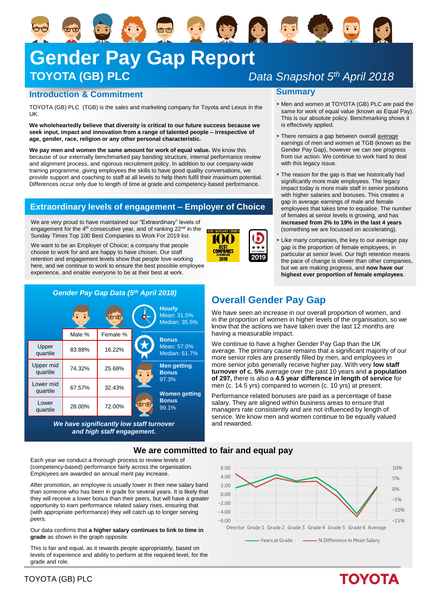# 安安安局 **Gender Pay Gap Report TOYOTA (GB) PLC**

aa

### **Introduction & Commitment**

TOYOTA (GB) PLC (TGB) is the sales and marketing company for Toyota and Lexus in the UK.

**We wholeheartedly believe that diversity is critical to our future success because we seek input, impact and innovation from a range of talented people – irrespective of age, gender, race, religion or any other personal characteristic.**

**We pay men and women the same amount for work of equal value.** We know this because of our externally benchmarked pay banding structure, internal performance review and alignment process, and rigorous recruitment policy. In addition to our company-wide training programme, giving employees the skills to have good quality conversations, we provide support and coaching to staff at all levels to help them fulfil their maximum potential. Differences occur only due to length of time at grade and competency-based performance.

## **Extraordinary levels of engagement – Employer of Choice**

We are very proud to have maintained our "Extraordinary" levels of engagement for the 4<sup>th</sup> consecutive year, and of ranking 22<sup>nd</sup> in the Sunday Times Top 100 Best Companies to Work For 2019 list.

We want to be an Employer of Choice; a company that people choose to work for and are happy to have chosen. Our staff retention and engagement levels show that people love working here, and we continue to work to ensure the best possible employee experience, and enable everyone to be at their best at work.



*We have significantly low staff turnover and high staff engagement.*

**THE SUNDAY TIMES** 100 **BEST**<br>COMPANIES 2019

# *Data Snapshot 5th April 2018*

#### **Summary**

- Men and women at TOYOTA (GB) PLC are paid the same for work of equal value (known as Equal Pay). This is our absolute policy. Benchmarking shows it is effectively applied.
- There remains a gap between overall average earnings of men and women at TGB (known as the Gender Pay Gap), however we can see progress from our action. We continue to work hard to deal with this legacy issue.
- The reason for the gap is that we historically had significantly more male employees. The legacy impact today is more male staff in senior positions with higher salaries and bonuses. This creates a gap in average earnings of male and female employees that takes time to equalise. The number of females at senior levels is growing, and has **increased from 2% to 19% in the last 4 years**  (something we are focussed on accelerating).
- Like many companies, the key to our average pay gap is the proportion of female employees, in particular at senior level. Our high retention means the pace of change is slower than other companies, but we are making progress, and **now have our highest ever proportion of female employees**.

## **Overall Gender Pay Gap**

We have seen an increase in our overall proportion of women, and in the proportion of women in higher levels of the organisation, so we know that the actions we have taken over the last 12 months are having a measurable impact.

We continue to have a higher Gender Pay Gap than the UK average. The primary cause remains that a significant majority of our more senior roles are presently filled by men, and employees in more senior jobs generally receive higher pay. With very **low staff turnover of c. 5%** average over the past 10 years and **a population of 297,** there is also a **4.5 year difference in length of service** for men (c. 14.5 yrs) compared to women (c. 10 yrs) at present.

Performance related bonuses are paid as a percentage of base salary. They are aligned within business areas to ensure that managers rate consistently and are not influenced by length of service. We know men and women continue to be equally valued and rewarded.

#### **We are committed to fair and equal pay**

Each year we conduct a thorough process to review levels of (competency-based) performance fairly across the organisation. Employees are awarded an annual merit pay increase.

After promotion, an employee is usually lower in their new salary band than someone who has been in grade for several years. It is likely that they will receive a lower bonus than their peers, but will have a greater opportunity to earn performance related salary rises, ensuring that (with appropriate performance) they will catch up to longer serving peers.

Our data confirms that **a higher salary continues to link to time in grade** as shown in the graph opposite.

This is fair and equal, as it rewards people appropriately, based on levels of experience and ability to perform at the required level, for the grade and role.